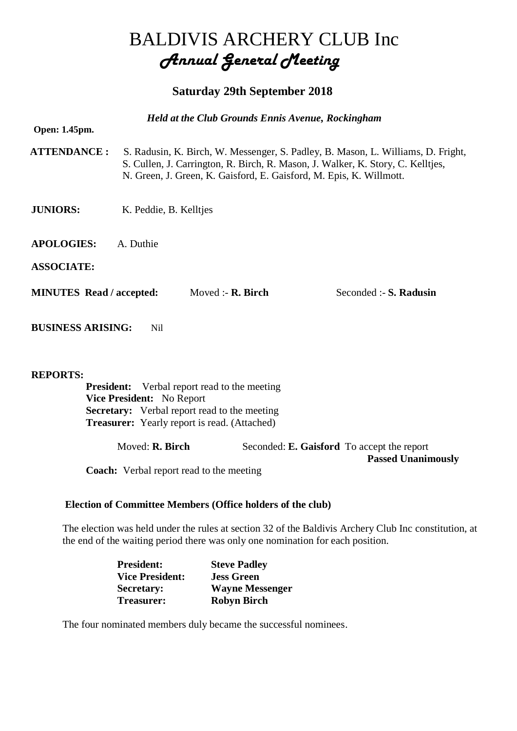# BALDIVIS ARCHERY CLUB Inc *Annual General Meeting*

## **Saturday 29th September 2018**

| <b>Held at the Club Grounds Ennis Avenue, Rockingham</b> |                                                                                                                                                                                                                                            |                               |                        |  |
|----------------------------------------------------------|--------------------------------------------------------------------------------------------------------------------------------------------------------------------------------------------------------------------------------------------|-------------------------------|------------------------|--|
| Open: 1.45pm.                                            |                                                                                                                                                                                                                                            |                               |                        |  |
| <b>ATTENDANCE:</b>                                       | S. Radusin, K. Birch, W. Messenger, S. Padley, B. Mason, L. Williams, D. Fright,<br>S. Cullen, J. Carrington, R. Birch, R. Mason, J. Walker, K. Story, C. Kelltjes,<br>N. Green, J. Green, K. Gaisford, E. Gaisford, M. Epis, K. Willmott. |                               |                        |  |
| <b>JUNIORS:</b>                                          | K. Peddie, B. Kelltjes                                                                                                                                                                                                                     |                               |                        |  |
| <b>APOLOGIES:</b>                                        | A. Duthie                                                                                                                                                                                                                                  |                               |                        |  |
| <b>ASSOCIATE:</b>                                        |                                                                                                                                                                                                                                            |                               |                        |  |
| <b>MINUTES Read / accepted:</b>                          |                                                                                                                                                                                                                                            | Moved :- $\mathbf{R}$ . Birch | Seconded :- S. Radusin |  |
| <b>BUSINESS ARISING:</b>                                 | Nil                                                                                                                                                                                                                                        |                               |                        |  |

#### **REPORTS:**

**President:** Verbal report read to the meeting **Vice President:** No Report **Secretary:** Verbal report read to the meeting **Treasurer:** Yearly report is read. (Attached)

Moved: **R. Birch** Seconded: **E. Gaisford** To accept the report

**Passed Unanimously** 

**Coach:** Verbal report read to the meeting

### **Election of Committee Members (Office holders of the club)**

The election was held under the rules at section 32 of the Baldivis Archery Club Inc constitution, at the end of the waiting period there was only one nomination for each position.

| <b>President:</b>      | <b>Steve Padley</b>    |
|------------------------|------------------------|
| <b>Vice President:</b> | <b>Jess Green</b>      |
| <b>Secretary:</b>      | <b>Wayne Messenger</b> |
| Treasurer:             | <b>Robyn Birch</b>     |

The four nominated members duly became the successful nominees.